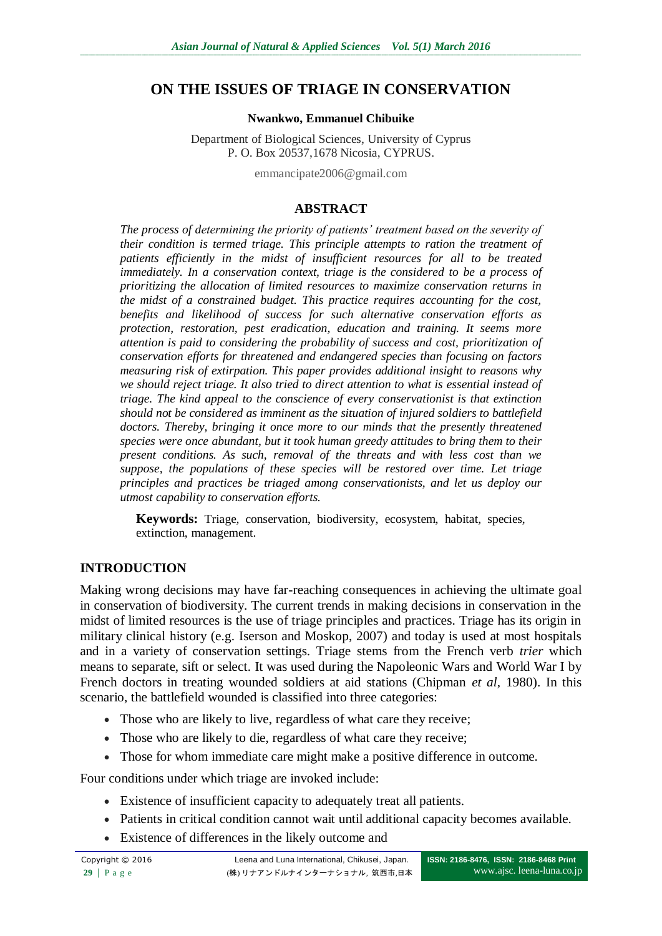# **ON THE ISSUES OF TRIAGE IN CONSERVATION**

#### **Nwankwo, Emmanuel Chibuike**

Department of Biological Sciences, University of Cyprus P. O. Box 20537,1678 Nicosia, CYPRUS.

emmancipate2006@gmail.com

### **ABSTRACT**

*The process of determining the priority of patients' treatment based on the severity of their condition is termed triage. This principle attempts to ration the treatment of patients efficiently in the midst of insufficient resources for all to be treated immediately. In a conservation context, triage is the considered to be a process of prioritizing the allocation of limited resources to maximize conservation returns in the midst of a constrained budget. This practice requires accounting for the cost, benefits and likelihood of success for such alternative conservation efforts as protection, restoration, pest eradication, education and training. It seems more attention is paid to considering the probability of success and cost, prioritization of conservation efforts for threatened and endangered species than focusing on factors measuring risk of extirpation. This paper provides additional insight to reasons why we should reject triage. It also tried to direct attention to what is essential instead of triage. The kind appeal to the conscience of every conservationist is that extinction should not be considered as imminent as the situation of injured soldiers to battlefield doctors. Thereby, bringing it once more to our minds that the presently threatened species were once abundant, but it took human greedy attitudes to bring them to their present conditions. As such, removal of the threats and with less cost than we suppose, the populations of these species will be restored over time. Let triage principles and practices be triaged among conservationists, and let us deploy our utmost capability to conservation efforts.* 

**Keywords:** Triage, conservation, biodiversity, ecosystem, habitat, species, extinction, management.

## **INTRODUCTION**

Making wrong decisions may have far-reaching consequences in achieving the ultimate goal in conservation of biodiversity. The current trends in making decisions in conservation in the midst of limited resources is the use of triage principles and practices. Triage has its origin in military clinical history (e.g. Iserson and Moskop, 2007) and today is used at most hospitals and in a variety of conservation settings. Triage stems from the French verb *trier* which means to separate, sift or select. It was used during the Napoleonic Wars and World War I by French doctors in treating wounded soldiers at aid stations (Chipman *et al,* 1980). In this scenario, the battlefield wounded is classified into three categories:

- Those who are likely to live, regardless of what care they receive;
- Those who are likely to die, regardless of what care they receive;
- Those for whom immediate care might make a positive difference in outcome.

Four conditions under which triage are invoked include:

- Existence of insufficient capacity to adequately treat all patients.
- Patients in critical condition cannot wait until additional capacity becomes available.
- Existence of differences in the likely outcome and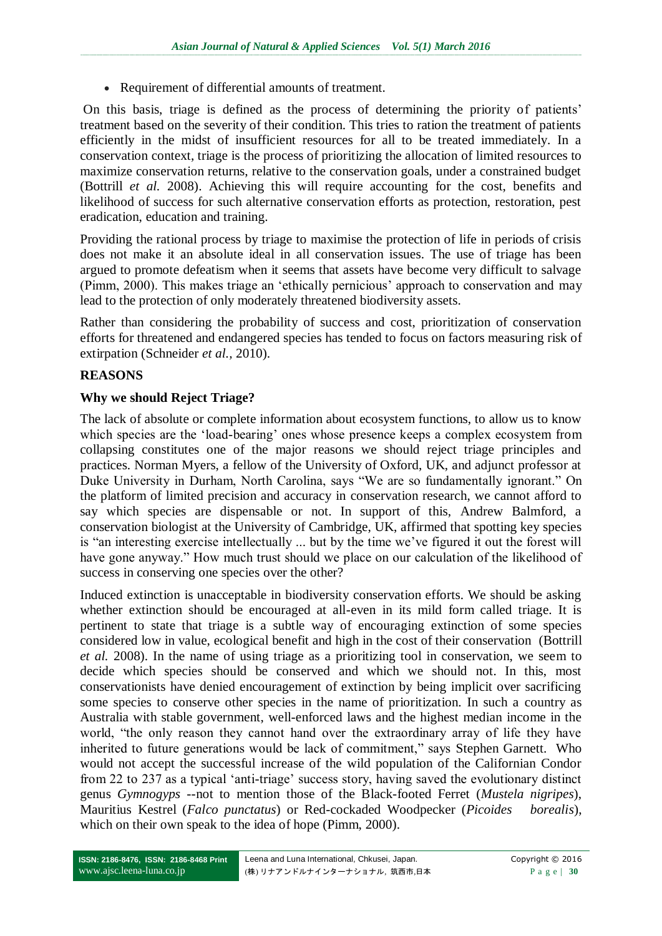Requirement of differential amounts of treatment.

On this basis, triage is defined as the process of determining the priority of patients' treatment based on the severity of their condition. This tries to ration the treatment of patients efficiently in the midst of insufficient resources for all to be treated immediately. In a conservation context, triage is the process of prioritizing the allocation of limited resources to maximize conservation returns, relative to the conservation goals, under a constrained budget (Bottrill *et al.* 2008). Achieving this will require accounting for the cost, benefits and likelihood of success for such alternative conservation efforts as protection, restoration, pest eradication, education and training.

Providing the rational process by triage to maximise the protection of life in periods of crisis does not make it an absolute ideal in all conservation issues. The use of triage has been argued to promote defeatism when it seems that assets have become very difficult to salvage (Pimm, 2000). This makes triage an 'ethically pernicious' approach to conservation and may lead to the protection of only moderately threatened biodiversity assets.

Rather than considering the probability of success and cost, prioritization of conservation efforts for threatened and endangered species has tended to focus on factors measuring risk of extirpation (Schneider *et al.,* 2010).

## **REASONS**

## **Why we should Reject Triage?**

The lack of absolute or complete information about ecosystem functions, to allow us to know which species are the 'load-bearing' ones whose presence keeps a complex ecosystem from collapsing constitutes one of the major reasons we should reject triage principles and practices. Norman Myers, a fellow of the University of Oxford, UK, and adjunct professor at Duke University in Durham, North Carolina, says "We are so fundamentally ignorant." On the platform of limited precision and accuracy in conservation research, we cannot afford to say which species are dispensable or not. In support of this, Andrew Balmford, a conservation biologist at the University of Cambridge, UK, affirmed that spotting key species is "an interesting exercise intellectually ... but by the time we've figured it out the forest will have gone anyway." How much trust should we place on our calculation of the likelihood of success in conserving one species over the other?

Induced extinction is unacceptable in biodiversity conservation efforts. We should be asking whether extinction should be encouraged at all-even in its mild form called triage. It is pertinent to state that triage is a subtle way of encouraging extinction of some species considered low in value, ecological benefit and high in the cost of their conservation (Bottrill *et al.* 2008). In the name of using triage as a prioritizing tool in conservation, we seem to decide which species should be conserved and which we should not. In this, most conservationists have denied encouragement of extinction by being implicit over sacrificing some species to conserve other species in the name of prioritization. In such a country as Australia with stable government, well-enforced laws and the highest median income in the world, "the only reason they cannot hand over the extraordinary array of life they have inherited to future generations would be lack of commitment," says Stephen Garnett. Who would not accept the successful increase of the wild population of the Californian Condor from 22 to 237 as a typical 'anti-triage' success story, having saved the evolutionary distinct genus *Gymnogyps --*not to mention those of the Black-footed Ferret (*Mustela nigripes*), Mauritius Kestrel (*Falco punctatus*) or Red-cockaded Woodpecker (*Picoides borealis*), which on their own speak to the idea of hope (Pimm, 2000).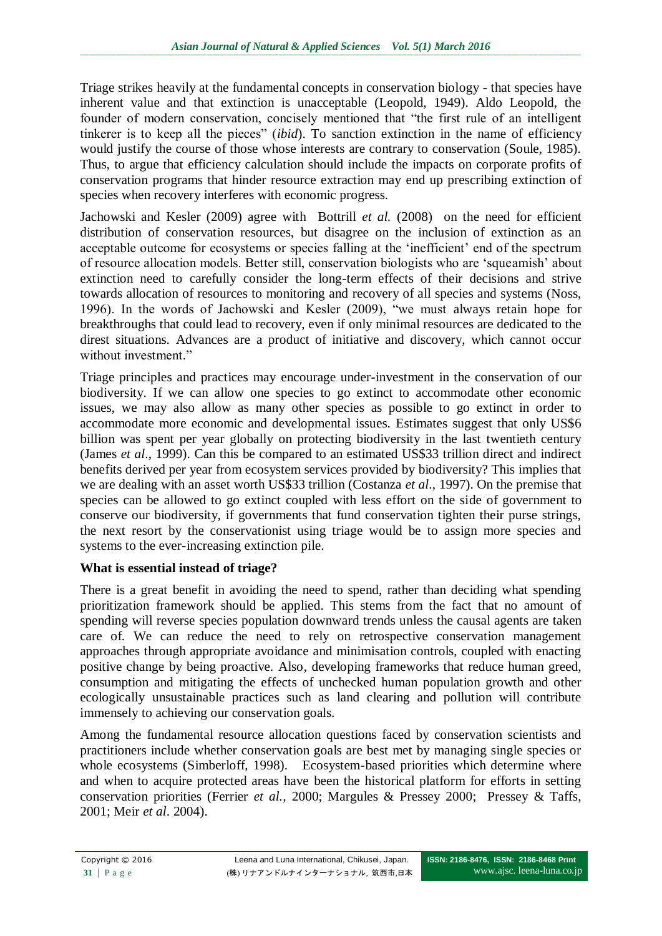Triage strikes heavily at the fundamental concepts in conservation biology - that species have inherent value and that extinction is unacceptable (Leopold, 1949). Aldo Leopold, the founder of modern conservation, concisely mentioned that "the first rule of an intelligent tinkerer is to keep all the pieces" *(ibid)*. To sanction extinction in the name of efficiency would justify the course of those whose interests are contrary to conservation (Soule, 1985). Thus, to argue that efficiency calculation should include the impacts on corporate profits of conservation programs that hinder resource extraction may end up prescribing extinction of species when recovery interferes with economic progress.

Jachowski and Kesler (2009) agree with Bottrill *et al.* (2008) on the need for efficient distribution of conservation resources, but disagree on the inclusion of extinction as an acceptable outcome for ecosystems or species falling at the 'inefficient' end of the spectrum of resource allocation models. Better still, conservation biologists who are 'squeamish' about extinction need to carefully consider the long-term effects of their decisions and strive towards allocation of resources to monitoring and recovery of all species and systems (Noss, 1996). In the words of Jachowski and Kesler (2009), "we must always retain hope for breakthroughs that could lead to recovery, even if only minimal resources are dedicated to the direst situations. Advances are a product of initiative and discovery, which cannot occur without investment."

Triage principles and practices may encourage under-investment in the conservation of our biodiversity. If we can allow one species to go extinct to accommodate other economic issues, we may also allow as many other species as possible to go extinct in order to accommodate more economic and developmental issues. Estimates suggest that only US\$6 billion was spent per year globally on protecting biodiversity in the last twentieth century (James *et al*., 1999). Can this be compared to an estimated US\$33 trillion direct and indirect benefits derived per year from ecosystem services provided by biodiversity? This implies that we are dealing with an asset worth US\$33 trillion (Costanza *et al*., 1997). On the premise that species can be allowed to go extinct coupled with less effort on the side of government to conserve our biodiversity, if governments that fund conservation tighten their purse strings, the next resort by the conservationist using triage would be to assign more species and systems to the ever-increasing extinction pile.

# **What is essential instead of triage?**

There is a great benefit in avoiding the need to spend, rather than deciding what spending prioritization framework should be applied. This stems from the fact that no amount of spending will reverse species population downward trends unless the causal agents are taken care of. We can reduce the need to rely on retrospective conservation management approaches through appropriate avoidance and minimisation controls, coupled with enacting positive change by being proactive. Also, developing frameworks that reduce human greed, consumption and mitigating the effects of unchecked human population growth and other ecologically unsustainable practices such as land clearing and pollution will contribute immensely to achieving our conservation goals.

Among the fundamental resource allocation questions faced by conservation scientists and practitioners include whether conservation goals are best met by managing single species or whole ecosystems (Simberloff, 1998). Ecosystem-based priorities which determine where and when to acquire protected areas have been the historical platform for efforts in setting conservation priorities (Ferrier *et al.,* 2000; Margules & Pressey 2000; Pressey & Taffs, 2001; Meir *et al*. 2004).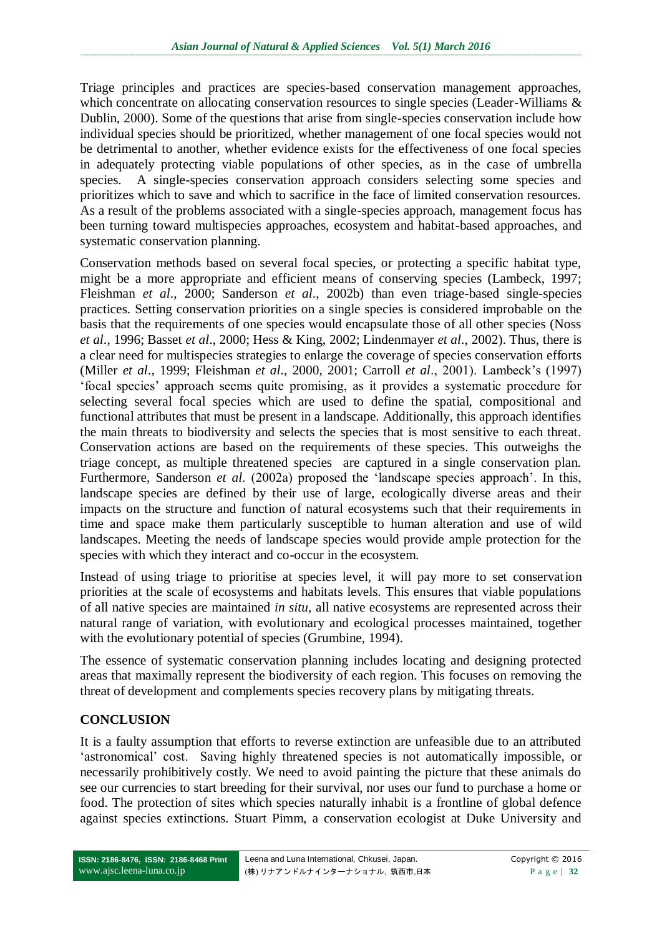Triage principles and practices are species-based conservation management approaches, which concentrate on allocating conservation resources to single species (Leader-Williams & Dublin, 2000). Some of the questions that arise from single-species conservation include how individual species should be prioritized, whether management of one focal species would not be detrimental to another, whether evidence exists for the effectiveness of one focal species in adequately protecting viable populations of other species, as in the case of umbrella species. A single-species conservation approach considers selecting some species and prioritizes which to save and which to sacrifice in the face of limited conservation resources. As a result of the problems associated with a single-species approach, management focus has been turning toward multispecies approaches, ecosystem and habitat-based approaches, and systematic conservation planning.

Conservation methods based on several focal species, or protecting a specific habitat type, might be a more appropriate and efficient means of conserving species (Lambeck, 1997; Fleishman *et al*., 2000; Sanderson *et al*., 2002b) than even triage-based single-species practices. Setting conservation priorities on a single species is considered improbable on the basis that the requirements of one species would encapsulate those of all other species (Noss *et al*., 1996; Basset *et al*., 2000; Hess & King, 2002; Lindenmayer *et al*., 2002). Thus, there is a clear need for multispecies strategies to enlarge the coverage of species conservation efforts (Miller *et al*., 1999; Fleishman *et al*., 2000, 2001; Carroll *et al*., 2001). Lambeck's (1997) ‗focal species' approach seems quite promising, as it provides a systematic procedure for selecting several focal species which are used to define the spatial, compositional and functional attributes that must be present in a landscape. Additionally, this approach identifies the main threats to biodiversity and selects the species that is most sensitive to each threat. Conservation actions are based on the requirements of these species. This outweighs the triage concept, as multiple threatened species are captured in a single conservation plan. Furthermore, Sanderson *et al.* (2002a) proposed the 'landscape species approach'. In this, landscape species are defined by their use of large, ecologically diverse areas and their impacts on the structure and function of natural ecosystems such that their requirements in time and space make them particularly susceptible to human alteration and use of wild landscapes. Meeting the needs of landscape species would provide ample protection for the species with which they interact and co-occur in the ecosystem.

Instead of using triage to prioritise at species level, it will pay more to set conservation priorities at the scale of ecosystems and habitats levels. This ensures that viable populations of all native species are maintained *in situ,* all native ecosystems are represented across their natural range of variation, with evolutionary and ecological processes maintained, together with the evolutionary potential of species (Grumbine, 1994).

The essence of systematic conservation planning includes locating and designing protected areas that maximally represent the biodiversity of each region. This focuses on removing the threat of development and complements species recovery plans by mitigating threats.

## **CONCLUSION**

It is a faulty assumption that efforts to reverse extinction are unfeasible due to an attributed 'astronomical' cost. Saving highly threatened species is not automatically impossible, or necessarily prohibitively costly. We need to avoid painting the picture that these animals do see our currencies to start breeding for their survival, nor uses our fund to purchase a home or food. The protection of sites which species naturally inhabit is a frontline of global defence against species extinctions. Stuart Pimm, a conservation ecologist at Duke University and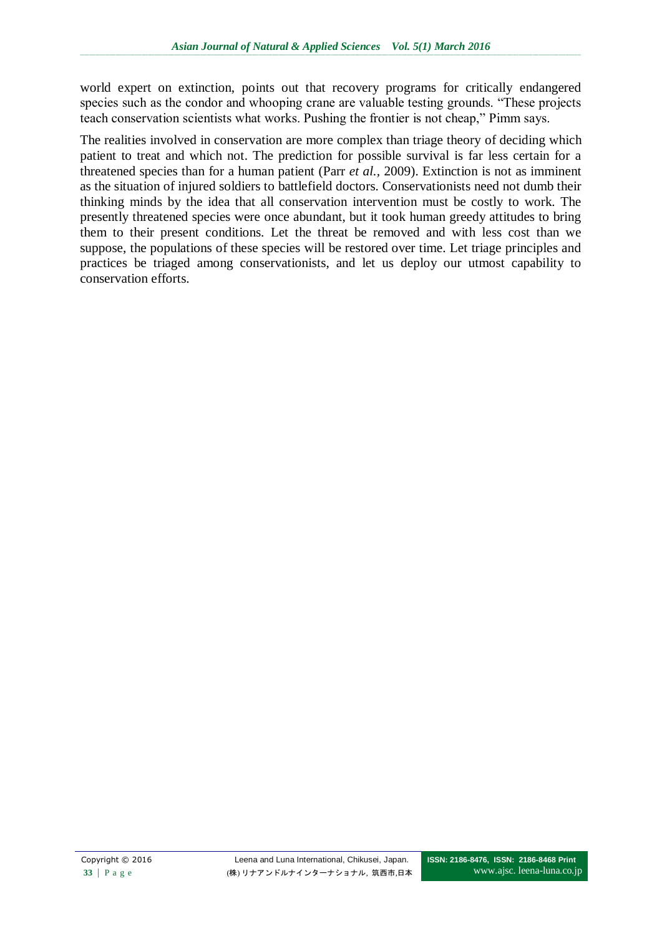world expert on extinction, points out that recovery programs for critically endangered species such as the condor and whooping crane are valuable testing grounds. "These projects teach conservation scientists what works. Pushing the frontier is not cheap," Pimm says.

The realities involved in conservation are more complex than triage theory of deciding which patient to treat and which not. The prediction for possible survival is far less certain for a threatened species than for a human patient (Parr *et al.,* 2009). Extinction is not as imminent as the situation of injured soldiers to battlefield doctors. Conservationists need not dumb their thinking minds by the idea that all conservation intervention must be costly to work. The presently threatened species were once abundant, but it took human greedy attitudes to bring them to their present conditions. Let the threat be removed and with less cost than we suppose, the populations of these species will be restored over time. Let triage principles and practices be triaged among conservationists, and let us deploy our utmost capability to conservation efforts.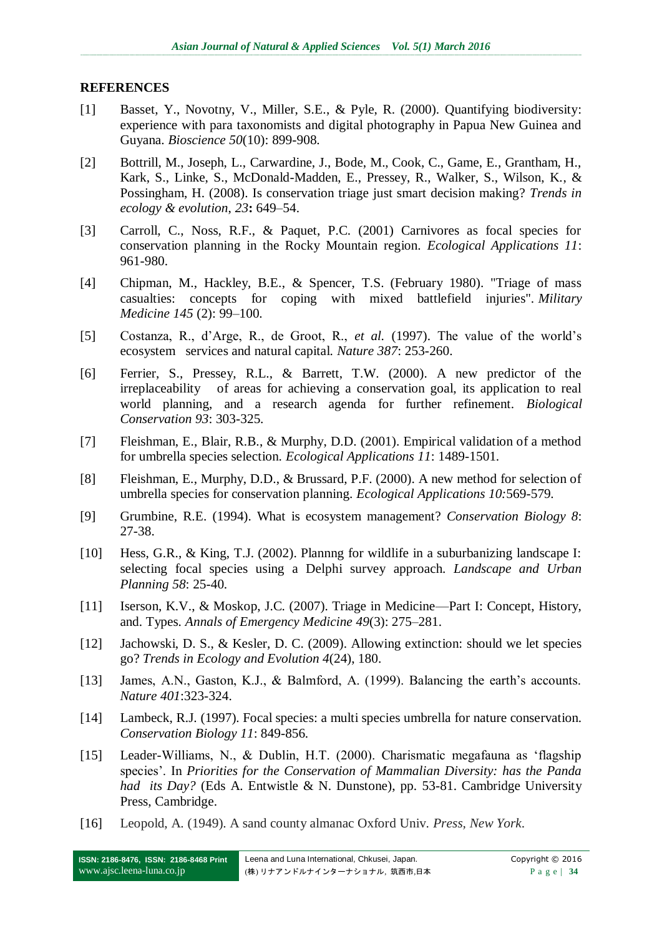#### **REFERENCES**

- [1] Basset, Y., Novotny, V., Miller, S.E., & Pyle, R. (2000). Quantifying biodiversity: experience with para taxonomists and digital photography in Papua New Guinea and Guyana. *Bioscience 50*(10): 899-908.
- [2] Bottrill, M., Joseph, L., Carwardine, J., Bode, M., Cook, C., Game, E., Grantham, H., Kark, S., Linke, S., McDonald-Madden, E., Pressey, R., Walker, S., Wilson, K., & Possingham, H. (2008). Is conservation triage just smart decision making? *Trends in ecology & evolution*, *23***:** 649–54.
- [3] Carroll, C., Noss, R.F., & Paquet, P.C. (2001) Carnivores as focal species for conservation planning in the Rocky Mountain region. *Ecological Applications 11*: 961-980.
- [4] Chipman, M., Hackley, B.E., & Spencer, T.S. (February 1980). "Triage of mass casualties: concepts for coping with mixed battlefield injuries". *Military Medicine 145* (2): 99–100.
- [5] Costanza, R., d'Arge, R., de Groot, R., *et al.* (1997). The value of the world's ecosystem services and natural capital. *Nature 387*: 253-260.
- [6] Ferrier, S., Pressey, R.L., & Barrett, T.W. (2000). A new predictor of the irreplaceability of areas for achieving a conservation goal, its application to real world planning, and a research agenda for further refinement. *Biological Conservation 93*: 303-325.
- [7] Fleishman, E., Blair, R.B., & Murphy, D.D. (2001). Empirical validation of a method for umbrella species selection. *Ecological Applications 11*: 1489-1501.
- [8] Fleishman, E., Murphy, D.D., & Brussard, P.F. (2000). A new method for selection of umbrella species for conservation planning. *Ecological Applications 10:*569-579.
- [9] Grumbine, R.E. (1994). What is ecosystem management? *Conservation Biology 8*: 27-38.
- [10] Hess, G.R., & King, T.J. (2002). Plannng for wildlife in a suburbanizing landscape I: selecting focal species using a Delphi survey approach. *Landscape and Urban Planning 58*: 25-40.
- [11] Iserson, K.V., & Moskop, J.C. (2007). Triage in Medicine—Part I: Concept, History, and. Types. *Annals of Emergency Medicine 49*(3): 275–281.
- [12] Jachowski, D. S., & Kesler, D. C. (2009). Allowing extinction: should we let species go? *Trends in Ecology and Evolution 4*(24), 180.
- [13] James, A.N., Gaston, K.J., & Balmford, A. (1999). Balancing the earth's accounts. *Nature 401*:323-324.
- [14] Lambeck, R.J. (1997). Focal species: a multi species umbrella for nature conservation. *Conservation Biology 11*: 849-856.
- [15] Leader-Williams, N., & Dublin, H.T. (2000). Charismatic megafauna as 'flagship species'. In *Priorities for the Conservation of Mammalian Diversity: has the Panda had its Day?* (Eds A. Entwistle & N. Dunstone), pp. 53-81. Cambridge University Press, Cambridge.
- [16] Leopold, A. (1949). A sand county almanac Oxford Univ. *Press, New York*.